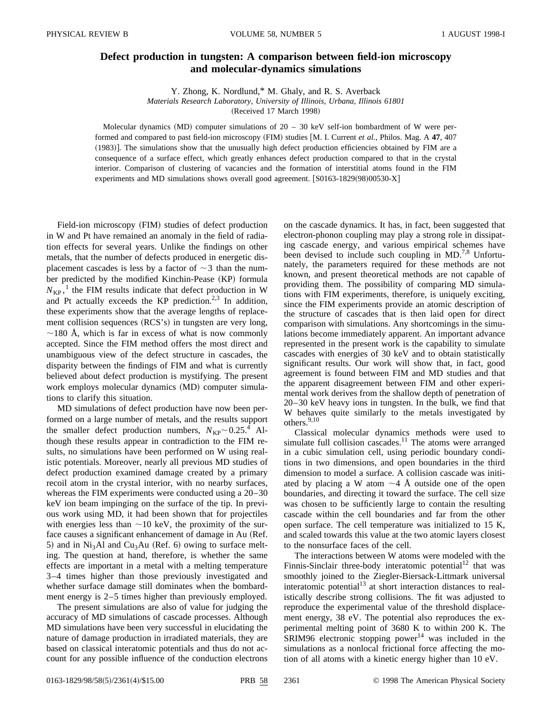## **Defect production in tungsten: A comparison between field-ion microscopy and molecular-dynamics simulations**

Y. Zhong, K. Nordlund,\* M. Ghaly, and R. S. Averback

*Materials Research Laboratory, University of Illinois, Urbana, Illinois 61801*

(Received 17 March 1998)

Molecular dynamics (MD) computer simulations of  $20 - 30$  keV self-ion bombardment of W were performed and compared to past field-ion microscopy (FIM) studies [M. I. Current *et al.*, Philos. Mag. A 47, 407 (1983)]. The simulations show that the unusually high defect production efficiencies obtained by FIM are a consequence of a surface effect, which greatly enhances defect production compared to that in the crystal interior. Comparison of clustering of vacancies and the formation of interstitial atoms found in the FIM experiments and MD simulations shows overall good agreement.  $[ S0163-1829(98)00530-X ]$ 

Field-ion microscopy (FIM) studies of defect production in W and Pt have remained an anomaly in the field of radiation effects for several years. Unlike the findings on other metals, that the number of defects produced in energetic displacement cascades is less by a factor of  $\sim$  3 than the number predicted by the modified Kinchin-Pease (KP) formula  $N_{\text{KP}}$ ,<sup>1</sup> the FIM results indicate that defect production in W and Pt actually exceeds the KP prediction.<sup>2,3</sup> In addition, these experiments show that the average lengths of replacement collision sequences (RCS's) in tungsten are very long,  $\sim$ 180 Å, which is far in excess of what is now commonly accepted. Since the FIM method offers the most direct and unambiguous view of the defect structure in cascades, the disparity between the findings of FIM and what is currently believed about defect production is mystifying. The present work employs molecular dynamics (MD) computer simulations to clarify this situation.

MD simulations of defect production have now been performed on a large number of metals, and the results support the smaller defect production numbers,  $N_{\text{KP}} \sim 0.25$ .<sup>4</sup> Although these results appear in contradiction to the FIM results, no simulations have been performed on W using realistic potentials. Moreover, nearly all previous MD studies of defect production examined damage created by a primary recoil atom in the crystal interior, with no nearby surfaces, whereas the FIM experiments were conducted using a 20–30 keV ion beam impinging on the surface of the tip. In previous work using MD, it had been shown that for projectiles with energies less than  $\sim$ 10 keV, the proximity of the surface causes a significant enhancement of damage in Au (Ref. 5) and in  $Ni<sub>3</sub>Al$  and Cu<sub>3</sub>Au (Ref. 6) owing to surface melting. The question at hand, therefore, is whether the same effects are important in a metal with a melting temperature 3–4 times higher than those previously investigated and whether surface damage still dominates when the bombardment energy is 2–5 times higher than previously employed.

The present simulations are also of value for judging the accuracy of MD simulations of cascade processes. Although MD simulations have been very successful in elucidating the nature of damage production in irradiated materials, they are based on classical interatomic potentials and thus do not account for any possible influence of the conduction electrons on the cascade dynamics. It has, in fact, been suggested that electron-phonon coupling may play a strong role in dissipating cascade energy, and various empirical schemes have been devised to include such coupling in  $MD.^{7,8}$  Unfortunately, the parameters required for these methods are not known, and present theoretical methods are not capable of providing them. The possibility of comparing MD simulations with FIM experiments, therefore, is uniquely exciting, since the FIM experiments provide an atomic description of the structure of cascades that is then laid open for direct comparison with simulations. Any shortcomings in the simulations become immediately apparent. An important advance represented in the present work is the capability to simulate cascades with energies of 30 keV and to obtain statistically significant results. Our work will show that, in fact, good agreement is found between FIM and MD studies and that the apparent disagreement between FIM and other experimental work derives from the shallow depth of penetration of 20–30 keV heavy ions in tungsten. In the bulk, we find that W behaves quite similarly to the metals investigated by others.9,10

Classical molecular dynamics methods were used to simulate full collision cascades.<sup>11</sup> The atoms were arranged in a cubic simulation cell, using periodic boundary conditions in two dimensions, and open boundaries in the third dimension to model a surface. A collision cascade was initiated by placing a W atom  $\sim$ 4 Å outside one of the open boundaries, and directing it toward the surface. The cell size was chosen to be sufficiently large to contain the resulting cascade within the cell boundaries and far from the other open surface. The cell temperature was initialized to 15 K, and scaled towards this value at the two atomic layers closest to the nonsurface faces of the cell.

The interactions between W atoms were modeled with the Finnis-Sinclair three-body interatomic potential<sup>12</sup> that was smoothly joined to the Ziegler-Biersack-Littmark universal interatomic potential<sup>13</sup> at short interaction distances to realistically describe strong collisions. The fit was adjusted to reproduce the experimental value of the threshold displacement energy, 38 eV. The potential also reproduces the experimental melting point of 3680 K to within 200 K. The  $SRIM96$  electronic stopping power<sup>14</sup> was included in the simulations as a nonlocal frictional force affecting the motion of all atoms with a kinetic energy higher than 10 eV.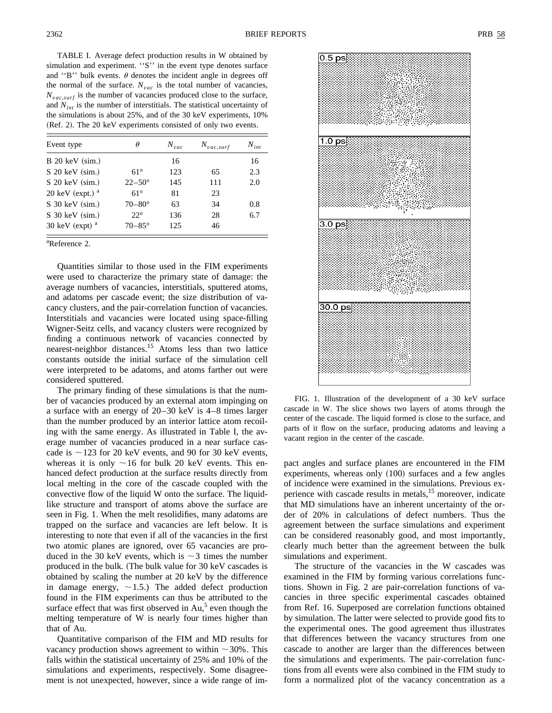TABLE I. Average defect production results in W obtained by simulation and experiment. ''S'' in the event type denotes surface and "B" bulk events.  $\theta$  denotes the incident angle in degrees off the normal of the surface.  $N_{vac}$  is the total number of vacancies,  $N_{vac,surf}$  is the number of vacancies produced close to the surface, and  $N_{int}$  is the number of interstitials. The statistical uncertainty of the simulations is about 25%, and of the 30 keV experiments, 10%  $(Ref. 2)$ . The 20 keV experiments consisted of only two events.

| Event type         | θ                 | $N_{vac}$ | $N_{vac,surf}$ | $N_{int}$ |
|--------------------|-------------------|-----------|----------------|-----------|
| $B$ 20 keV (sim.)  |                   | 16        |                | 16        |
| S 20 keV (sim.)    | $61^\circ$        | 123       | 65             | 2.3       |
| $S$ 20 keV (sim.)  | $22 - 50^{\circ}$ | 145       | 111            | 2.0       |
| 20 keV (expt.) $a$ | $61^\circ$        | 81        | 23             |           |
| S 30 keV (sim.)    | $70 - 80^{\circ}$ | 63        | 34             | 0.8       |
| $S$ 30 keV (sim.)  | $22^\circ$        | 136       | 28             | 6.7       |
| 30 keV (expt) $a$  | $70 - 85^\circ$   | 125       | 46             |           |
|                    |                   |           |                |           |

a Reference 2.

Quantities similar to those used in the FIM experiments were used to characterize the primary state of damage: the average numbers of vacancies, interstitials, sputtered atoms, and adatoms per cascade event; the size distribution of vacancy clusters, and the pair-correlation function of vacancies. Interstitials and vacancies were located using space-filling Wigner-Seitz cells, and vacancy clusters were recognized by finding a continuous network of vacancies connected by nearest-neighbor distances.<sup>15</sup> Atoms less than two lattice constants outside the initial surface of the simulation cell were interpreted to be adatoms, and atoms farther out were considered sputtered.

The primary finding of these simulations is that the number of vacancies produced by an external atom impinging on a surface with an energy of 20–30 keV is 4–8 times larger than the number produced by an interior lattice atom recoiling with the same energy. As illustrated in Table I, the average number of vacancies produced in a near surface cascade is  $\sim$  123 for 20 keV events, and 90 for 30 keV events, whereas it is only  $\sim$ 16 for bulk 20 keV events. This enhanced defect production at the surface results directly from local melting in the core of the cascade coupled with the convective flow of the liquid W onto the surface. The liquidlike structure and transport of atoms above the surface are seen in Fig. 1. When the melt resolidifies, many adatoms are trapped on the surface and vacancies are left below. It is interesting to note that even if all of the vacancies in the first two atomic planes are ignored, over 65 vacancies are produced in the 30 keV events, which is  $\sim$ 3 times the number produced in the bulk. (The bulk value for 30 keV cascades is obtained by scaling the number at 20 keV by the difference in damage energy,  $\sim$ 1.5.) The added defect production found in the FIM experiments can thus be attributed to the surface effect that was first observed in  $Au<sub>2</sub>$ <sup>5</sup> even though the melting temperature of W is nearly four times higher than that of Au.

Quantitative comparison of the FIM and MD results for vacancy production shows agreement to within  $\sim$  30%. This falls within the statistical uncertainty of 25% and 10% of the simulations and experiments, respectively. Some disagreement is not unexpected, however, since a wide range of im-

FIG. 1. Illustration of the development of a 30 keV surface cascade in W. The slice shows two layers of atoms through the center of the cascade. The liquid formed is close to the surface, and parts of it flow on the surface, producing adatoms and leaving a vacant region in the center of the cascade.

pact angles and surface planes are encountered in the FIM experiments, whereas only  $(100)$  surfaces and a few angles of incidence were examined in the simulations. Previous experience with cascade results in metals,<sup>15</sup> moreover, indicate that MD simulations have an inherent uncertainty of the order of 20% in calculations of defect numbers. Thus the agreement between the surface simulations and experiment can be considered reasonably good, and most importantly, clearly much better than the agreement between the bulk simulations and experiment.

The structure of the vacancies in the W cascades was examined in the FIM by forming various correlations functions. Shown in Fig. 2 are pair-correlation functions of vacancies in three specific experimental cascades obtained from Ref. 16. Superposed are correlation functions obtained by simulation. The latter were selected to provide good fits to the experimental ones. The good agreement thus illustrates that differences between the vacancy structures from one cascade to another are larger than the differences between the simulations and experiments. The pair-correlation functions from all events were also combined in the FIM study to form a normalized plot of the vacancy concentration as a

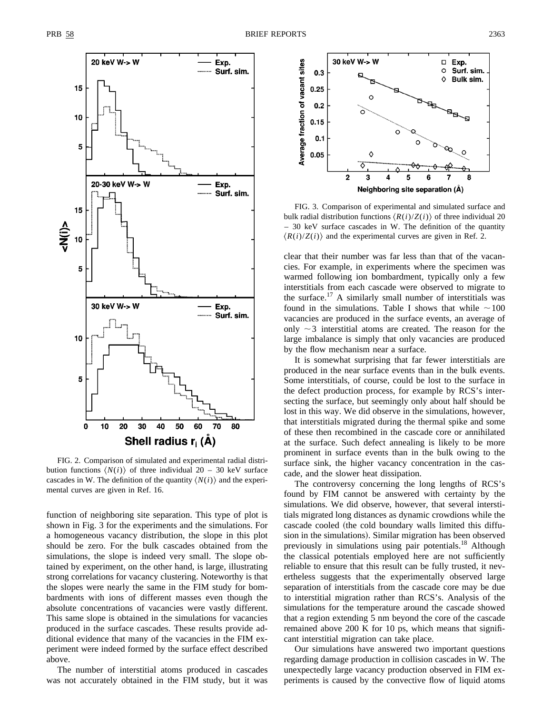

FIG. 2. Comparison of simulated and experimental radial distribution functions  $\langle N(i) \rangle$  of three individual 20 – 30 keV surface cascades in W. The definition of the quantity  $\langle N(i) \rangle$  and the experimental curves are given in Ref. 16.

function of neighboring site separation. This type of plot is shown in Fig. 3 for the experiments and the simulations. For a homogeneous vacancy distribution, the slope in this plot should be zero. For the bulk cascades obtained from the simulations, the slope is indeed very small. The slope obtained by experiment, on the other hand, is large, illustrating strong correlations for vacancy clustering. Noteworthy is that the slopes were nearly the same in the FIM study for bombardments with ions of different masses even though the absolute concentrations of vacancies were vastly different. This same slope is obtained in the simulations for vacancies produced in the surface cascades. These results provide additional evidence that many of the vacancies in the FIM experiment were indeed formed by the surface effect described above.

The number of interstitial atoms produced in cascades was not accurately obtained in the FIM study, but it was



FIG. 3. Comparison of experimental and simulated surface and bulk radial distribution functions  $\langle R(i)/Z(i) \rangle$  of three individual 20 – 30 keV surface cascades in W. The definition of the quantity  $\langle R(i)/Z(i) \rangle$  and the experimental curves are given in Ref. 2.

clear that their number was far less than that of the vacancies. For example, in experiments where the specimen was warmed following ion bombardment, typically only a few interstitials from each cascade were observed to migrate to the surface.<sup>17</sup> A similarly small number of interstitials was found in the simulations. Table I shows that while  $\sim$ 100 vacancies are produced in the surface events, an average of only  $\sim$ 3 interstitial atoms are created. The reason for the large imbalance is simply that only vacancies are produced by the flow mechanism near a surface.

It is somewhat surprising that far fewer interstitials are produced in the near surface events than in the bulk events. Some interstitials, of course, could be lost to the surface in the defect production process, for example by RCS's intersecting the surface, but seemingly only about half should be lost in this way. We did observe in the simulations, however, that interstitials migrated during the thermal spike and some of these then recombined in the cascade core or annihilated at the surface. Such defect annealing is likely to be more prominent in surface events than in the bulk owing to the surface sink, the higher vacancy concentration in the cascade, and the slower heat dissipation.

The controversy concerning the long lengths of RCS's found by FIM cannot be answered with certainty by the simulations. We did observe, however, that several interstitials migrated long distances as dynamic crowdions while the cascade cooled (the cold boundary walls limited this diffusion in the simulations). Similar migration has been observed previously in simulations using pair potentials.<sup>18</sup> Although the classical potentials employed here are not sufficiently reliable to ensure that this result can be fully trusted, it nevertheless suggests that the experimentally observed large separation of interstitials from the cascade core may be due to interstitial migration rather than RCS's. Analysis of the simulations for the temperature around the cascade showed that a region extending 5 nm beyond the core of the cascade remained above 200 K for 10 ps, which means that significant interstitial migration can take place.

Our simulations have answered two important questions regarding damage production in collision cascades in W. The unexpectedly large vacancy production observed in FIM experiments is caused by the convective flow of liquid atoms